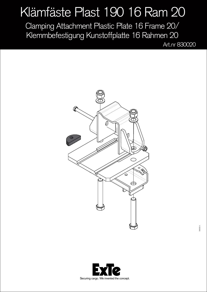## Klämfäste Plast 190 16 Ram 20

Clamping Attachment Plastic Plate 16 Frame 20/ Klemmbefestigung Kunstoffplatte 16 Rahmen 20

Art.nr 830020